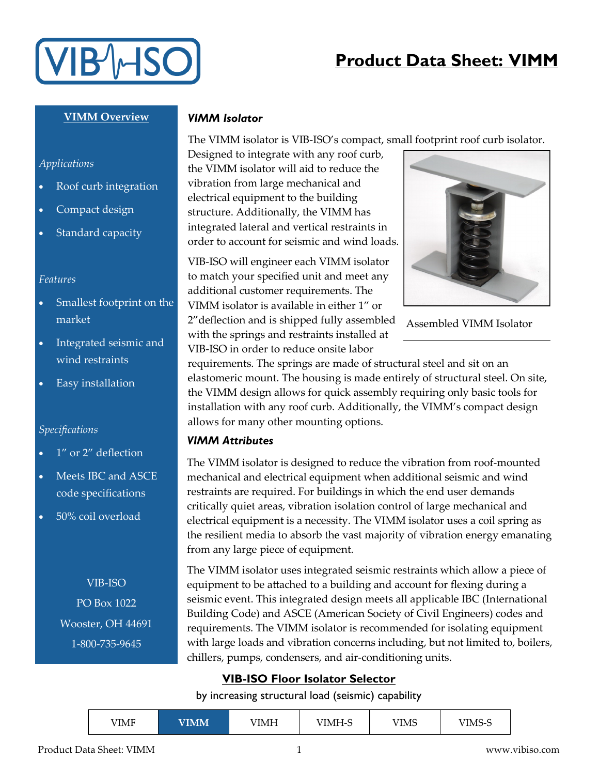

# **Product Data Sheet: VIMM**

### **VIMM Overview**

#### *Applications*

- Roof curb integration
- Compact design
- Standard capacity

#### *Features*

- Smallest footprint on the market
- Integrated seismic and wind restraints
- Easy installation

#### *Specifications*

- 1" or 2" deflection
- Meets IBC and ASCE code specifications
- 50% coil overload

VIB-ISO PO Box 1022 Wooster, OH 44691 1-800-735-9645

### *VIMM Isolator*

The VIMM isolator is VIB-ISO's compact, small footprint roof curb isolator.

Designed to integrate with any roof curb, the VIMM isolator will aid to reduce the vibration from large mechanical and electrical equipment to the building structure. Additionally, the VIMM has integrated lateral and vertical restraints in order to account for seismic and wind loads.

VIB-ISO will engineer each VIMM isolator to match your specified unit and meet any additional customer requirements. The VIMM isolator is available in either 1" or 2"deflection and is shipped fully assembled with the springs and restraints installed at VIB-ISO in order to reduce onsite labor



Assembled VIMM Isolator

requirements. The springs are made of structural steel and sit on an elastomeric mount. The housing is made entirely of structural steel. On site, the VIMM design allows for quick assembly requiring only basic tools for installation with any roof curb. Additionally, the VIMM's compact design allows for many other mounting options.

#### *VIMM Attributes*

The VIMM isolator is designed to reduce the vibration from roof-mounted mechanical and electrical equipment when additional seismic and wind restraints are required. For buildings in which the end user demands critically quiet areas, vibration isolation control of large mechanical and electrical equipment is a necessity. The VIMM isolator uses a coil spring as the resilient media to absorb the vast majority of vibration energy emanating from any large piece of equipment.

The VIMM isolator uses integrated seismic restraints which allow a piece of equipment to be attached to a building and account for flexing during a seismic event. This integrated design meets all applicable IBC (International Building Code) and ASCE (American Society of Civil Engineers) codes and requirements. The VIMM isolator is recommended for isolating equipment with large loads and vibration concerns including, but not limited to, boilers, chillers, pumps, condensers, and air-conditioning units.

## **VIB-ISO Floor Isolator Selector**

#### by increasing structural load (seismic) capability

| VIMM<br>VIMF | /IMH | VIMH-S | VIMS | 7IMS-. |
|--------------|------|--------|------|--------|
|--------------|------|--------|------|--------|